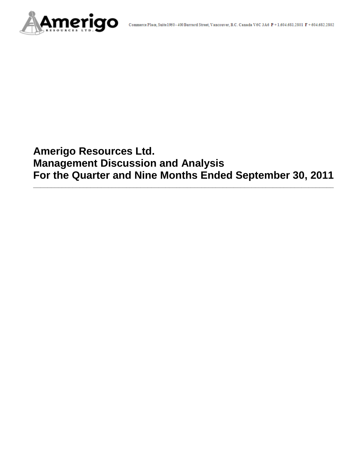

# **Amerigo Resources Ltd. Management Discussion and Analysis For the Quarter and Nine Months Ended September 30, 2011**

**\_\_\_\_\_\_\_\_\_\_\_\_\_\_\_\_\_\_\_\_\_\_\_\_\_\_\_\_\_\_\_\_\_\_\_\_\_\_\_\_\_\_\_\_\_\_\_\_\_\_\_\_\_\_\_\_\_\_\_\_\_\_\_\_\_\_\_\_\_\_\_\_\_\_\_\_\_\_\_\_\_\_\_\_**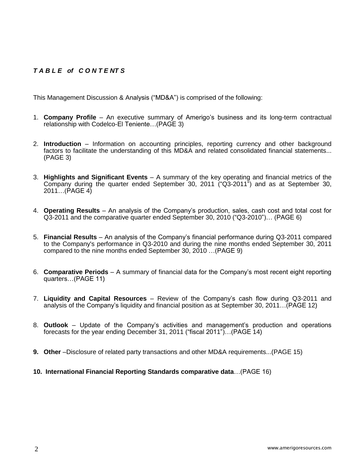# *T A B L E of C O N T E NT S*

This Management Discussion & Analysis ("MD&A") is comprised of the following:

- 1. **Company Profile**  An executive summary of Amerigo's business and its long-term contractual relationship with Codelco-El Teniente…(PAGE 3)
- 2. **Introduction**  Information on accounting principles, reporting currency and other background factors to facilitate the understanding of this MD&A and related consolidated financial statements... (PAGE 3)
- 3. **Highlights and Significant Events** A summary of the key operating and financial metrics of the Company during the quarter ended September 30, 2011 ("Q3-2011") and as at September 30, 2011…(PAGE 4)
- 4. **Operating Results** An analysis of the Company's production, sales, cash cost and total cost for Q3-2011 and the comparative quarter ended September 30, 2010 ("Q3-2010")… (PAGE 6)
- 5. **Financial Results** An analysis of the Company's financial performance during Q3-2011 compared to the Company's performance in Q3-2010 and during the nine months ended September 30, 2011 compared to the nine months ended September 30, 2010 …(PAGE 9)
- 6. **Comparative Periods** A summary of financial data for the Company's most recent eight reporting quarters…(PAGE 11)
- 7. **Liquidity and Capital Resources** Review of the Company's cash flow during Q3-2011 and analysis of the Company's liquidity and financial position as at September 30, 2011…(PAGE 12)
- 8. **Outlook** Update of the Company's activities and management's production and operations forecasts for the year ending December 31, 2011 ("fiscal 2011")…(PAGE 14)
- **9. Other** –Disclosure of related party transactions and other MD&A requirements...(PAGE 15)
- **10. International Financial Reporting Standards comparative data**…(PAGE 16)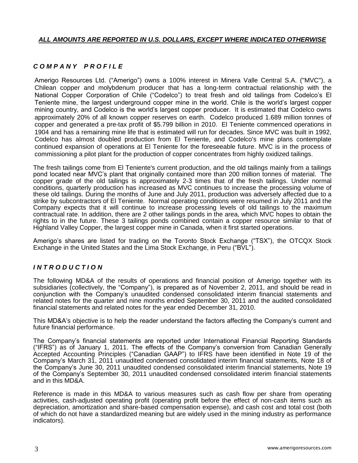## *ALL AMOUNTS ARE REPORTED IN U.S. DOLLARS, EXCEPT WHERE INDICATED OTHERWISE*

# *C O M P A N Y P R O F I L E*

Amerigo Resources Ltd. ("Amerigo") owns a 100% interest in Minera Valle Central S.A. ("MVC"), a Chilean copper and molybdenum producer that has a long-term contractual relationship with the National Copper Corporation of Chile ("Codelco") to treat fresh and old tailings from Codelco's El Teniente mine, the largest underground copper mine in the world. Chile is the world's largest copper mining country, and Codelco is the world's largest copper producer. It is estimated that Codelco owns approximately 20% of all known copper reserves on earth. Codelco produced 1.689 million tonnes of copper and generated a pre-tax profit of \$5.799 billion in 2010. El Teniente commenced operations in 1904 and has a remaining mine life that is estimated will run for decades. Since MVC was built in 1992, Codelco has almost doubled production from El Teniente, and Codelco's mine plans contemplate continued expansion of operations at El Teniente for the foreseeable future. MVC is in the process of commissioning a pilot plant for the production of copper concentrates from highly oxidized tailings.

The fresh tailings come from El Teniente's current production, and the old tailings mainly from a tailings pond located near MVC's plant that originally contained more than 200 million tonnes of material. The copper grade of the old tailings is approximately 2-3 times that of the fresh tailings. Under normal conditions, quarterly production has increased as MVC continues to increase the processing volume of these old tailings. During the months of June and July 2011, production was adversely affected due to a strike by subcontractors of El Teniente. Normal operating conditions were resumed in July 2011 and the Company expects that it will continue to increase processing levels of old tailings to the maximum contractual rate. In addition, there are 2 other tailings ponds in the area, which MVC hopes to obtain the rights to in the future. These 3 tailings ponds combined contain a copper resource similar to that of Highland Valley Copper, the largest copper mine in Canada, when it first started operations.

Amerigo's shares are listed for trading on the Toronto Stock Exchange ("TSX"), the OTCQX Stock Exchange in the United States and the Lima Stock Exchange, in Peru ("BVL").

# *I N T R O D U C T I O N*

The following MD&A of the results of operations and financial position of Amerigo together with its subsidiaries (collectively, the "Company"), is prepared as of November 2, 2011, and should be read in conjunction with the Company's unaudited condensed consolidated interim financial statements and related notes for the quarter and nine months ended September 30, 2011 and the audited consolidated financial statements and related notes for the year ended December 31, 2010.

This MD&A's objective is to help the reader understand the factors affecting the Company's current and future financial performance.

The Company's financial statements are reported under International Financial Reporting Standards ("IFRS") as of January 1, 2011. The effects of the Company's conversion from Canadian Generally Accepted Accounting Principles ("Canadian GAAP") to IFRS have been identified in Note 19 of the Company's March 31, 2011 unaudited condensed consolidated interim financial statements, Note 18 of the Company's June 30, 2011 unaudited condensed consolidated interim financial statements, Note 19 of the Company's September 30, 2011 unaudited condensed consolidated interim financial statements and in this MD&A.

Reference is made in this MD&A to various measures such as cash flow per share from operating activities, cash-adjusted operating profit (operating profit before the effect of non-cash items such as depreciation, amortization and share-based compensation expense), and cash cost and total cost (both of which do not have a standardized meaning but are widely used in the mining industry as performance indicators).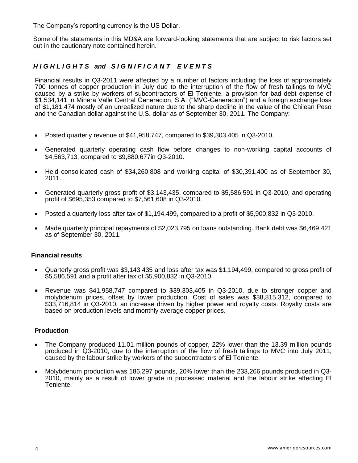The Company's reporting currency is the US Dollar.

Some of the statements in this MD&A are forward-looking statements that are subject to risk factors set out in the cautionary note contained herein.

## *H I G H L I G H T S and S I G N I F I C A N T E V E N T S*

Financial results in Q3-2011 were affected by a number of factors including the loss of approximately 700 tonnes of copper production in July due to the interruption of the flow of fresh tailings to MVC caused by a strike by workers of subcontractors of El Teniente, a provision for bad debt expense of \$1,534,141 in Minera Valle Central Generacion, S.A. ("MVC-Generacion") and a foreign exchange loss of \$1,181,474 mostly of an unrealized nature due to the sharp decline in the value of the Chilean Peso and the Canadian dollar against the U.S. dollar as of September 30, 2011. The Company:

- Posted quarterly revenue of \$41,958,747, compared to \$39,303,405 in Q3-2010.
- Generated quarterly operating cash flow before changes to non-working capital accounts of \$4,563,713, compared to \$9,880,677in Q3-2010.
- Held consolidated cash of \$34,260,808 and working capital of \$30,391,400 as of September 30, 2011.
- Generated quarterly gross profit of \$3,143,435, compared to \$5,586,591 in Q3-2010, and operating profit of \$695,353 compared to \$7,561,608 in Q3-2010.
- Posted a quarterly loss after tax of \$1,194,499, compared to a profit of \$5,900,832 in Q3-2010.
- Made quarterly principal repayments of \$2,023,795 on loans outstanding. Bank debt was \$6,469,421 as of September 30, 2011.

#### **Financial results**

- Quarterly gross profit was \$3,143,435 and loss after tax was \$1,194,499, compared to gross profit of \$5,586,591 and a profit after tax of \$5,900,832 in Q3-2010.
- Revenue was \$41,958,747 compared to \$39,303,405 in Q3-2010, due to stronger copper and molybdenum prices, offset by lower production. Cost of sales was \$38,815,312, compared to \$33,716,814 in Q3-2010, an increase driven by higher power and royalty costs. Royalty costs are based on production levels and monthly average copper prices.

#### **Production**

- The Company produced 11.01 million pounds of copper, 22% lower than the 13.39 million pounds produced in Q3-2010, due to the interruption of the flow of fresh tailings to MVC into July 2011, caused by the labour strike by workers of the subcontractors of El Teniente.
- Molybdenum production was 186,297 pounds, 20% lower than the 233,266 pounds produced in Q3- 2010, mainly as a result of lower grade in processed material and the labour strike affecting El Teniente.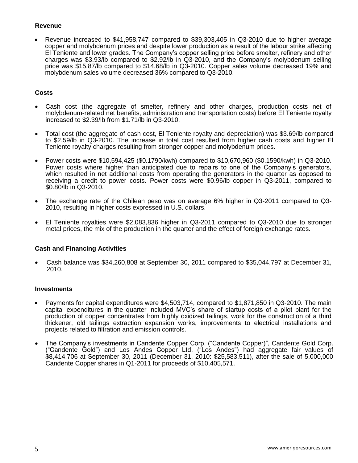## **Revenue**

 Revenue increased to \$41,958,747 compared to \$39,303,405 in Q3-2010 due to higher average copper and molybdenum prices and despite lower production as a result of the labour strike affecting El Teniente and lower grades. The Company's copper selling price before smelter, refinery and other charges was \$3.93/lb compared to \$2.92/lb in Q3-2010, and the Company's molybdenum selling price was \$15.87/lb compared to \$14.68/lb in Q3-2010. Copper sales volume decreased 19% and molybdenum sales volume decreased 36% compared to Q3-2010.

## **Costs**

- Cash cost (the aggregate of smelter, refinery and other charges, production costs net of molybdenum-related net benefits, administration and transportation costs) before El Teniente royalty increased to \$2.39/lb from \$1.71/lb in Q3-2010.
- Total cost (the aggregate of cash cost, El Teniente royalty and depreciation) was \$3.69/lb compared to \$2.59/lb in Q3-2010. The increase in total cost resulted from higher cash costs and higher El Teniente royalty charges resulting from stronger copper and molybdenum prices.
- Power costs were \$10,594,425 (\$0.1790/kwh) compared to \$10,670,960 (\$0.1590/kwh) in Q3-2010. Power costs where higher than anticipated due to repairs to one of the Company's generators, which resulted in net additional costs from operating the generators in the quarter as opposed to receiving a credit to power costs. Power costs were \$0.96/lb copper in Q3-2011, compared to \$0.80/lb in Q3-2010.
- The exchange rate of the Chilean peso was on average 6% higher in Q3-2011 compared to Q3- 2010, resulting in higher costs expressed in U.S. dollars.
- El Teniente royalties were \$2,083,836 higher in Q3-2011 compared to Q3-2010 due to stronger metal prices, the mix of the production in the quarter and the effect of foreign exchange rates.

## **Cash and Financing Activities**

 Cash balance was \$34,260,808 at September 30, 2011 compared to \$35,044,797 at December 31, 2010.

## **Investments**

- Payments for capital expenditures were \$4,503,714, compared to \$1,871,850 in Q3-2010. The main capital expenditures in the quarter included MVC's share of startup costs of a pilot plant for the production of copper concentrates from highly oxidized tailings, work for the construction of a third thickener, old tailings extraction expansion works, improvements to electrical installations and projects related to filtration and emission controls.
- The Company's investments in Candente Copper Corp. ("Candente Copper)", Candente Gold Corp. ("Candente Gold") and Los Andes Copper Ltd. ("Los Andes") had aggregate fair values of \$8,414,706 at September 30, 2011 (December 31, 2010: \$25,583,511), after the sale of 5,000,000 Candente Copper shares in Q1-2011 for proceeds of \$10,405,571.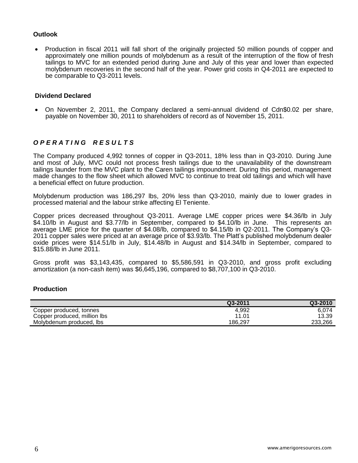#### **Outlook**

 Production in fiscal 2011 will fall short of the originally projected 50 million pounds of copper and approximately one million pounds of molybdenum as a result of the interruption of the flow of fresh tailings to MVC for an extended period during June and July of this year and lower than expected molybdenum recoveries in the second half of the year. Power grid costs in Q4-2011 are expected to be comparable to Q3-2011 levels.

#### **Dividend Declared**

 On November 2, 2011, the Company declared a semi-annual dividend of Cdn\$0.02 per share, payable on November 30, 2011 to shareholders of record as of November 15, 2011.

# *O P E R A T I N G R E S U L T S*

The Company produced 4,992 tonnes of copper in Q3-2011, 18% less than in Q3-2010. During June and most of July, MVC could not process fresh tailings due to the unavailability of the downstream tailings launder from the MVC plant to the Caren tailings impoundment. During this period, management made changes to the flow sheet which allowed MVC to continue to treat old tailings and which will have a beneficial effect on future production.

Molybdenum production was 186,297 lbs, 20% less than Q3-2010, mainly due to lower grades in processed material and the labour strike affecting El Teniente.

Copper prices decreased throughout Q3-2011. Average LME copper prices were \$4.36/lb in July \$4.10/lb in August and \$3.77/lb in September, compared to \$4.10/lb in June. This represents an average LME price for the quarter of \$4.08/lb, compared to \$4.15/lb in Q2-2011. The Company's Q3- 2011 copper sales were priced at an average price of \$3.93/lb. The Platt's published molybdenum dealer oxide prices were \$14.51/lb in July, \$14.48/lb in August and \$14.34/lb in September, compared to \$15.88/lb in June 2011.

Gross profit was \$3,143,435, compared to \$5,586,591 in Q3-2010, and gross profit excluding amortization (a non-cash item) was \$6,645,196, compared to \$8,707,100 in Q3-2010.

#### **Production**

|                              | Q3-2011 | Q3-2010 |
|------------------------------|---------|---------|
| Copper produced, tonnes      | 4.992   | 6.074   |
| Copper produced, million lbs | 11.01   | 13.39   |
| Molybdenum produced. Ibs     | 186.297 | 233.266 |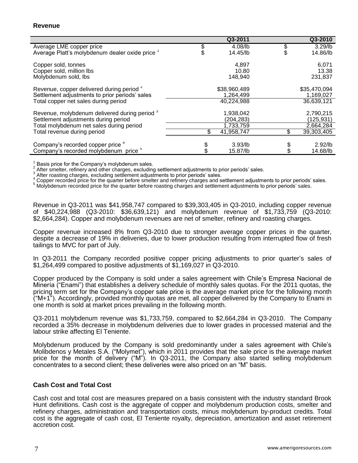|                                                          | Q3-2011           | Q3-2010          |
|----------------------------------------------------------|-------------------|------------------|
| Average LME copper price                                 | \$<br>4.08/lb     | \$<br>$3.29$ /lb |
| Average Platt's molybdenum dealer oxide price 1          | \$<br>14.45/lb    | 14.86/lb         |
| Copper sold, tonnes                                      | 4.897             | 6,071            |
| Copper sold, million lbs                                 | 10.80             | 13.38            |
| Molybdenum sold, lbs                                     | 148,940           | 231,837          |
| Revenue, copper delivered during period <sup>2</sup>     | \$38,960,489      | \$35,470,094     |
| Settlement adjustments to prior periods' sales           | 1,264,499         | 1,169,027        |
| Total copper net sales during period                     | 40,224,988        | 36,639,121       |
| Revenue, molybdenum delivered during period <sup>3</sup> | 1,938,042         | 2,790,215        |
| Settlement adjustments during period                     | (204,283)         | (125, 931)       |
| Total molybdenum net sales during period                 | 1,733,759         | 2,664,284        |
| Total revenue during period                              | \$<br>41,958,747  | 39,303,405       |
|                                                          |                   |                  |
| Company's recorded copper price 4                        | 3.93 <sub>1</sub> | $2.92$ /lb       |
| Company's recorded molybdenum price <sup>5</sup>         | 15.87/lb          | 14.68/lb         |

1 Basis price for the Company's molybdenum sales.  $\overline{2}$ 

After smelter, refinery and other charges, excluding settlement adjustments to prior periods' sales. 3

After roasting charges, excluding settlement adjustments to prior periods' sales.

<sup>4</sup> Copper recorded price for the quarter before smelter and refinery charges and settlement adjustments to prior periods' sales.

5 Molybdenum recorded price for the quarter before roasting charges and settlement adjustments to prior periods' sales.

Revenue in Q3-2011 was \$41,958,747 compared to \$39,303,405 in Q3-2010, including copper revenue of \$40,224,988 (Q3-2010: \$36,639,121) and molybdenum revenue of \$1,733,759 (Q3-2010: \$2,664,284). Copper and molybdenum revenues are net of smelter, refinery and roasting charges.

Copper revenue increased 8% from Q3-2010 due to stronger average copper prices in the quarter, despite a decrease of 19% in deliveries, due to lower production resulting from interrupted flow of fresh tailings to MVC for part of July.

In Q3-2011 the Company recorded positive copper pricing adjustments to prior quarter's sales of \$1,264,499 compared to positive adjustments of \$1,169,027 in Q3-2010.

Copper produced by the Company is sold under a sales agreement with Chile's Empresa Nacional de Minería ("Enami") that establishes a delivery schedule of monthly sales quotas. For the 2011 quotas, the pricing term set for the Company's copper sale price is the average market price for the following month ("M+1"). Accordingly, provided monthly quotas are met, all copper delivered by the Company to Enami in one month is sold at market prices prevailing in the following month.

Q3-2011 molybdenum revenue was \$1,733,759, compared to \$2,664,284 in Q3-2010. The Company recorded a 35% decrease in molybdenum deliveries due to lower grades in processed material and the labour strike affecting El Teniente.

Molybdenum produced by the Company is sold predominantly under a sales agreement with Chile's Molibdenos y Metales S.A. ("Molymet"), which in 2011 provides that the sale price is the average market price for the month of delivery ("M"). In Q3-2011, the Company also started selling molybdenum concentrates to a second client; these deliveries were also priced on an "M" basis.

#### **Cash Cost and Total Cost**

Cash cost and total cost are measures prepared on a basis consistent with the industry standard Brook Hunt definitions. Cash cost is the aggregate of copper and molybdenum production costs, smelter and refinery charges, administration and transportation costs, minus molybdenum by-product credits. Total cost is the aggregate of cash cost, El Teniente royalty, depreciation, amortization and asset retirement accretion cost.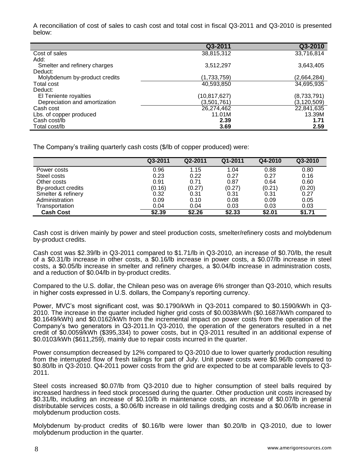A reconciliation of cost of sales to cash cost and total cost in fiscal Q3-2011 and Q3-2010 is presented below:

|                               | Q3-2011        | Q3-2010       |
|-------------------------------|----------------|---------------|
| Cost of sales                 | 38,815,312     | 33,716,814    |
| Add:                          |                |               |
| Smelter and refinery charges  | 3,512,297      | 3,643,405     |
| Deduct:                       |                |               |
| Molybdenum by-product credits | (1,733,759)    | (2,664,284)   |
| <b>Total cost</b>             | 40,593,850     | 34,695,935    |
| Deduct:                       |                |               |
| El Teniente royalties         | (10, 817, 627) | (8,733,791)   |
| Depreciation and amortization | (3,501,761)    | (3, 120, 509) |
| Cash cost                     | 26,274,462     | 22,841,635    |
| Lbs. of copper produced       | 11.01M         | 13.39M        |
| Cash cost/lb                  | 2.39           | 1.71          |
| Total cost/lb                 | 3.69           | 2.59          |

The Company's trailing quarterly cash costs (\$/lb of copper produced) were:

|                    | Q3-2011 | Q2-2011 | Q1-2011 | Q4-2010 | Q3-2010 |
|--------------------|---------|---------|---------|---------|---------|
| Power costs        | 0.96    | 1.15    | 1.04    | 0.88    | 0.80    |
| Steel costs        | 0.23    | 0.22    | 0.27    | 0.27    | 0.16    |
| Other costs        | 0.91    | 0.71    | 0.87    | 0.64    | 0.60    |
| By-product credits | (0.16)  | (0.27)  | (0.27)  | (0.21)  | (0.20)  |
| Smelter & refinery | 0.32    | 0.31    | 0.31    | 0.31    | 0.27    |
| Administration     | 0.09    | 0.10    | 0.08    | 0.09    | 0.05    |
| Transportation     | 0.04    | 0.04    | 0.03    | 0.03    | 0.03    |
| <b>Cash Cost</b>   | \$2.39  | \$2.26  | \$2.33  | \$2.01  | \$1.71  |

Cash cost is driven mainly by power and steel production costs, smelter/refinery costs and molybdenum by-product credits.

Cash cost was \$2.39/lb in Q3-2011 compared to \$1.71/lb in Q3-2010, an increase of \$0.70/lb, the result of a \$0.31/lb increase in other costs, a \$0.16/lb increase in power costs, a \$0.07/lb increase in steel costs, a \$0.05/lb increase in smelter and refinery charges, a \$0.04/lb increase in administration costs, and a reduction of \$0.04/lb in by-product credits.

Compared to the U.S. dollar, the Chilean peso was on average 6% stronger than Q3-2010, which results in higher costs expressed in U.S. dollars, the Company's reporting currency.

Power, MVC's most significant cost, was \$0.1790/kWh in Q3-2011 compared to \$0.1590/kWh in Q3- 2010. The increase in the quarter included higher grid costs of \$0.0038/kWh (\$0.1687/kWh compared to \$0.1649/kWh) and \$0.0162/kWh from the incremental impact on power costs from the operation of the Company's two generators in Q3-2011.In Q3-2010, the operation of the generators resulted in a net credit of \$0.0059/kWh (\$395,334) to power costs, but in Q3-2011 resulted in an additional expense of \$0.0103/kWh (\$611,259), mainly due to repair costs incurred in the quarter.

Power consumption decreased by 12% compared to Q3-2010 due to lower quarterly production resulting from the interrupted flow of fresh tailings for part of July. Unit power costs were \$0.96/lb compared to \$0.80/lb in Q3-2010. Q4-2011 power costs from the grid are expected to be at comparable levels to Q3- 2011.

Steel costs increased \$0.07/lb from Q3-2010 due to higher consumption of steel balls required by increased hardness in feed stock processed during the quarter. Other production unit costs increased by \$0.31/lb, including an increase of \$0.10/lb in maintenance costs, an increase of \$0.07/lb in general distributable services costs, a \$0.06/lb increase in old tailings dredging costs and a \$0.06/lb increase in molybdenum production costs.

Molybdenum by-product credits of \$0.16/lb were lower than \$0.20/lb in Q3-2010, due to lower molybdenum production in the quarter.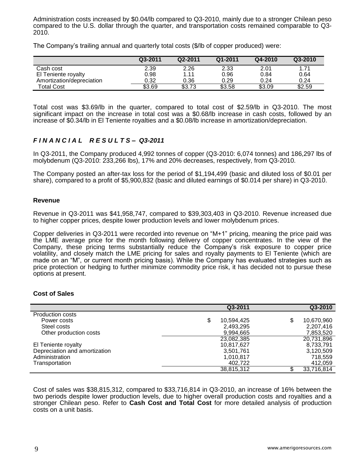Administration costs increased by \$0.04/lb compared to Q3-2010, mainly due to a stronger Chilean peso compared to the U.S. dollar through the quarter, and transportation costs remained comparable to Q3- 2010.

The Company's trailing annual and quarterly total costs (\$/lb of copper produced) were:

|                           | Q3-2011 | Q2-2011 | Q1-2011 | Q4-2010 | Q3-2010 |
|---------------------------|---------|---------|---------|---------|---------|
| Cash cost                 | 2.39    | 2.26    | 2.33    | 2.01    | 1.71    |
| El Teniente royalty       | 0.98    | 1.11    | 0.96    | 0.84    | 0.64    |
| Amortization/depreciation | 0.32    | 0.36    | 0.29    | 0.24    | 0.24    |
| <b>Total Cost</b>         | \$3.69  | \$3.73  | \$3.58  | \$3.09  | \$2.59  |

Total cost was \$3.69/lb in the quarter, compared to total cost of \$2.59/lb in Q3-2010. The most significant impact on the increase in total cost was a \$0.68/lb increase in cash costs, followed by an increase of \$0.34/lb in El Teniente royalties and a \$0.08/lb increase in amortization/depreciation.

# *F I N A N C I A L R E S U L T S – Q3-2011*

In Q3-2011, the Company produced 4,992 tonnes of copper (Q3-2010: 6,074 tonnes) and 186,297 lbs of molybdenum (Q3-2010: 233,266 lbs), 17% and 20% decreases, respectively, from Q3-2010.

The Company posted an after-tax loss for the period of \$1,194,499 (basic and diluted loss of \$0.01 per share), compared to a profit of \$5,900,832 (basic and diluted earnings of \$0.014 per share) in Q3-2010.

#### **Revenue**

Revenue in Q3-2011 was \$41,958,747, compared to \$39,303,403 in Q3-2010. Revenue increased due to higher copper prices, despite lower production levels and lower molybdenum prices.

Copper deliveries in Q3-2011 were recorded into revenue on "M+1" pricing, meaning the price paid was the LME average price for the month following delivery of copper concentrates. In the view of the Company, these pricing terms substantially reduce the Company's risk exposure to copper price volatility, and closely match the LME pricing for sales and royalty payments to El Teniente (which are made on an "M", or current month pricing basis). While the Company has evaluated strategies such as price protection or hedging to further minimize commodity price risk, it has decided not to pursue these options at present.

#### **Cost of Sales**

|                               | Q3-2011          | Q3-2010          |
|-------------------------------|------------------|------------------|
| <b>Production costs</b>       |                  |                  |
| Power costs                   | \$<br>10,594,425 | \$<br>10,670,960 |
| Steel costs                   | 2,493,295        | 2,207,416        |
| Other production costs        | 9,994,665        | 7,853,520        |
|                               | 23,082,385       | 20,731,896       |
| El Teniente royalty           | 10,817,627       | 8,733,791        |
| Depreciation and amortization | 3,501,761        | 3,120,509        |
| Administration                | 1.010.817        | 718,559          |
| Transportation                | 402.722          | 412,059          |
|                               | 38,815,312       | 33,716,814       |

Cost of sales was \$38,815,312, compared to \$33,716,814 in Q3-2010, an increase of 16% between the two periods despite lower production levels, due to higher overall production costs and royalties and a stronger Chilean peso. Refer to **Cash Cost and Total Cost** for more detailed analysis of production costs on a unit basis.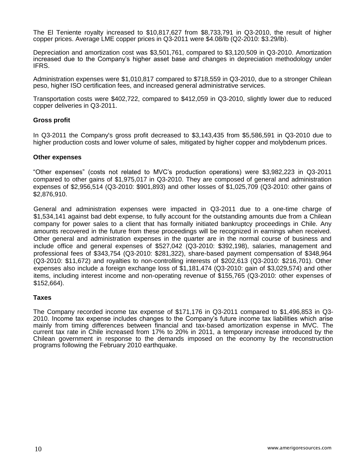The El Teniente royalty increased to \$10,817,627 from \$8,733,791 in Q3-2010, the result of higher copper prices. Average LME copper prices in Q3-2011 were \$4.08/lb (Q2-2010: \$3.29/lb).

Depreciation and amortization cost was \$3,501,761, compared to \$3,120,509 in Q3-2010. Amortization increased due to the Company's higher asset base and changes in depreciation methodology under IFRS.

Administration expenses were \$1,010,817 compared to \$718,559 in Q3-2010, due to a stronger Chilean peso, higher ISO certification fees, and increased general administrative services.

Transportation costs were \$402,722, compared to \$412,059 in Q3-2010, slightly lower due to reduced copper deliveries in Q3-2011.

#### **Gross profit**

In Q3-2011 the Company's gross profit decreased to \$3,143,435 from \$5,586,591 in Q3-2010 due to higher production costs and lower volume of sales, mitigated by higher copper and molybdenum prices.

#### **Other expenses**

"Other expenses" (costs not related to MVC's production operations) were \$3,982,223 in Q3-2011 compared to other gains of \$1,975,017 in Q3-2010. They are composed of general and administration expenses of \$2,956,514 (Q3-2010: \$901,893) and other losses of \$1,025,709 (Q3-2010: other gains of \$2,876,910.

General and administration expenses were impacted in Q3-2011 due to a one-time charge of \$1,534,141 against bad debt expense, to fully account for the outstanding amounts due from a Chilean company for power sales to a client that has formally initiated bankruptcy proceedings in Chile. Any amounts recovered in the future from these proceedings will be recognized in earnings when received. Other general and administration expenses in the quarter are in the normal course of business and include office and general expenses of \$527,042 (Q3-2010: \$392,198), salaries, management and professional fees of \$343,754 (Q3-2010: \$281,322), share-based payment compensation of \$348,964 (Q3-2010: \$11,672) and royalties to non-controlling interests of \$202,613 (Q3-2010: \$216,701). Other expenses also include a foreign exchange loss of \$1,181,474 (Q3-2010: gain of \$3,029,574) and other items, including interest income and non-operating revenue of \$155,765 (Q3-2010: other expenses of \$152,664).

#### **Taxes**

The Company recorded income tax expense of \$171,176 in Q3-2011 compared to \$1,496,853 in Q3- 2010. Income tax expense includes changes to the Company's future income tax liabilities which arise mainly from timing differences between financial and tax-based amortization expense in MVC. The current tax rate in Chile increased from 17% to 20% in 2011, a temporary increase introduced by the Chilean government in response to the demands imposed on the economy by the reconstruction programs following the February 2010 earthquake.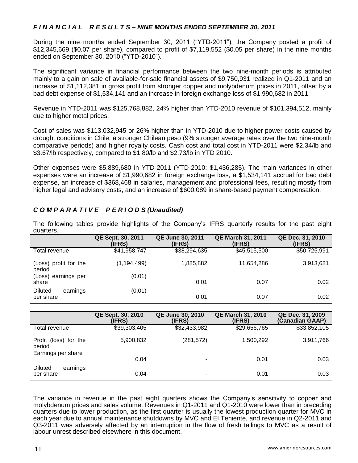## *F I N A N C I A L R E S U L T S – NINE MONTHS ENDED SEPTEMBER 30, 2011*

During the nine months ended September 30, 2011 ("YTD-2011"), the Company posted a profit of \$12,345,669 (\$0.07 per share), compared to profit of \$7,119,552 (\$0.05 per share) in the nine months ended on September 30, 2010 ("YTD-2010").

The significant variance in financial performance between the two nine-month periods is attributed mainly to a gain on sale of available-for-sale financial assets of \$9,750,931 realized in Q1-2011 and an increase of \$1,112,381 in gross profit from stronger copper and molybdenum prices in 2011, offset by a bad debt expense of \$1,534,141 and an increase in foreign exchange loss of \$1,990,682 in 2011.

Revenue in YTD-2011 was \$125,768,882, 24% higher than YTD-2010 revenue of \$101,394,512, mainly due to higher metal prices.

Cost of sales was \$113,032,945 or 26% higher than in YTD-2010 due to higher power costs caused by drought conditions in Chile, a stronger Chilean peso (9% stronger average rates over the two nine-month comparative periods) and higher royalty costs. Cash cost and total cost in YTD-2011 were \$2.34/lb and \$3.67/lb respectively, compared to \$1.80/lb and \$2.73/lb in YTD 2010.

Other expenses were \$5,889,680 in YTD-2011 (YTD-2010: \$1,436,285). The main variances in other expenses were an increase of \$1,990,682 in foreign exchange loss, a \$1,534,141 accrual for bad debt expense, an increase of \$368,468 in salaries, management and professional fees, resulting mostly from higher legal and advisory costs, and an increase of \$600,089 in share-based payment compensation.

| quarters.                               |                             |                                   |                                    |                            |
|-----------------------------------------|-----------------------------|-----------------------------------|------------------------------------|----------------------------|
|                                         | QE Sept. 30, 2011<br>(IFRS) | <b>QE June 30, 2011</b><br>(IFRS) | <b>QE March 31, 2011</b><br>(IFRS) | QE Dec. 31, 2010<br>(IFRS) |
| Total revenue                           | \$41,958,747                | \$38,294,635                      | \$45,515,500                       | \$50,725,991               |
| (Loss) profit for the<br>period         | (1, 194, 499)               | 1,885,882                         | 11,654,286                         | 3,913,681                  |
| (Loss) earnings per<br>share            | (0.01)                      | 0.01                              | 0.07                               | 0.02                       |
| <b>Diluted</b><br>earnings<br>per share | (0.01)                      | 0.01                              | 0.07                               | 0.02                       |

## *C O M P A R A T I V E P E R I O D S (Unaudited)*

The following tables provide highlights of the Company's IFRS quarterly results for the past eight quarters.

|                                                       | QE Sept. 30, 2010<br>(IFRS) | <b>QE June 30, 2010</b><br>(IFRS) | <b>QE March 31, 2010</b><br>(IFRS) | QE Dec. 31, 2009<br>(Canadian GAAP) |
|-------------------------------------------------------|-----------------------------|-----------------------------------|------------------------------------|-------------------------------------|
| Total revenue                                         | \$39,303,405                | \$32,433,982                      | \$29,656,765                       | \$33,852,105                        |
| Profit (loss) for the<br>period<br>Earnings per share | 5,900,832                   | (281, 572)                        | 1,500,292                          | 3,911,766                           |
|                                                       | 0.04                        | ۰                                 | 0.01                               | 0.03                                |
| <b>Diluted</b><br>earnings<br>per share               | 0.04                        | ۰                                 | 0.01                               | 0.03                                |

The variance in revenue in the past eight quarters shows the Company's sensitivity to copper and molybdenum prices and sales volume. Revenues in Q1-2011 and Q1-2010 were lower than in preceding quarters due to lower production, as the first quarter is usually the lowest production quarter for MVC in each year due to annual maintenance shutdowns by MVC and El Teniente, and revenue in Q2-2011 and Q3-2011 was adversely affected by an interruption in the flow of fresh tailings to MVC as a result of labour unrest described elsewhere in this document.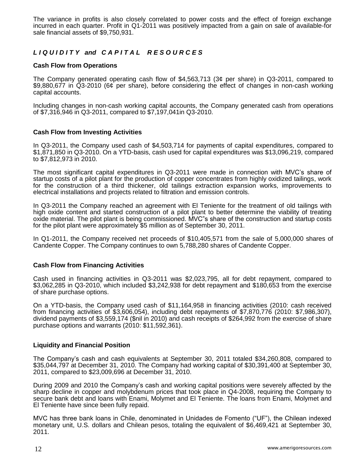The variance in profits is also closely correlated to power costs and the effect of foreign exchange incurred in each quarter. Profit in Q1-2011 was positively impacted from a gain on sale of available-for sale financial assets of \$9,750,931.

# *L I Q U I D I T Y and C A P I T A L R E S O U R C E S*

### **Cash Flow from Operations**

The Company generated operating cash flow of \$4,563,713 (3¢ per share) in Q3-2011, compared to \$9,880,677 in Q3-2010 (6¢ per share), before considering the effect of changes in non-cash working capital accounts.

Including changes in non-cash working capital accounts, the Company generated cash from operations of \$7,316,946 in Q3-2011, compared to \$7,197,041in Q3-2010.

#### **Cash Flow from Investing Activities**

In Q3-2011, the Company used cash of \$4,503,714 for payments of capital expenditures, compared to \$1,871,850 in Q3-2010. On a YTD-basis, cash used for capital expenditures was \$13,096,219, compared to \$7,812,973 in 2010.

The most significant capital expenditures in Q3-2011 were made in connection with MVC's share of startup costs of a pilot plant for the production of copper concentrates from highly oxidized tailings, work for the construction of a third thickener, old tailings extraction expansion works, improvements to electrical installations and projects related to filtration and emission controls.

In Q3-2011 the Company reached an agreement with El Teniente for the treatment of old tailings with high oxide content and started construction of a pilot plant to better determine the viability of treating oxide material. The pilot plant is being commissioned. MVC"s share of the construction and startup costs for the pilot plant were approximately \$5 million as of September 30, 2011.

In Q1-2011, the Company received net proceeds of \$10,405,571 from the sale of 5,000,000 shares of Candente Copper. The Company continues to own 5,788,280 shares of Candente Copper.

#### **Cash Flow from Financing Activities**

Cash used in financing activities in Q3-2011 was \$2,023,795, all for debt repayment, compared to \$3,062,285 in Q3-2010, which included \$3,242,938 for debt repayment and \$180,653 from the exercise of share purchase options.

On a YTD-basis, the Company used cash of \$11,164,958 in financing activities (2010: cash received from financing activities of \$3,606,054), including debt repayments of \$7,870,776 (2010: \$7,986,307), dividend payments of \$3,559,174 (\$nil in 2010) and cash receipts of \$264,992 from the exercise of share purchase options and warrants (2010: \$11,592,361).

#### **Liquidity and Financial Position**

The Company's cash and cash equivalents at September 30, 2011 totaled \$34,260,808, compared to \$35,044,797 at December 31, 2010. The Company had working capital of \$30,391,400 at September 30, 2011, compared to \$23,009,696 at December 31, 2010.

During 2009 and 2010 the Company's cash and working capital positions were severely affected by the sharp decline in copper and molybdenum prices that took place in Q4-2008, requiring the Company to secure bank debt and loans with Enami, Molymet and El Teniente. The loans from Enami, Molymet and El Teniente have since been fully repaid.

MVC has three bank loans in Chile, denominated in Unidades de Fomento ("UF"), the Chilean indexed monetary unit, U.S. dollars and Chilean pesos, totaling the equivalent of \$6,469,421 at September 30, 2011.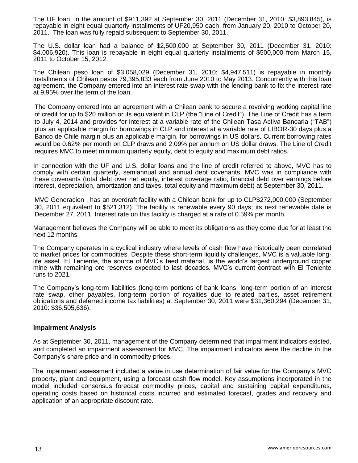The UF loan, in the amount of \$911,392 at September 30, 2011 (December 31, 2010: \$3,893,845), is repayable in eight equal quarterly installments of UF20,950 each, from January 20, 2010 to October 20, 2011. The loan was fully repaid subsequent to September 30, 2011.

The U.S. dollar loan had a balance of \$2,500,000 at September 30, 2011 (December 31, 2010: \$4,006,920). This loan is repayable in eight equal quarterly installments of \$500,000 from March 15, 2011 to October 15, 2012.

The Chilean peso loan of \$3,058,029 (December 31, 2010: \$4,947,511) is repayable in monthly installments of Chilean pesos 79,395,833 each from June 2010 to May 2013. Concurrently with this loan agreement, the Company entered into an interest rate swap with the lending bank to fix the interest rate at 9.95% over the term of the loan.

The Company entered into an agreement with a Chilean bank to secure a revolving working capital line of credit for up to \$20 million or its equivalent in CLP (the "Line of Credit"). The Line of Credit has a term to July 4, 2014 and provides for interest at a variable rate of the Chilean Tasa Activa Bancaria ("TAB") plus an applicable margin for borrowings in CLP and interest at a variable rate of LIBOR-30 days plus a Banco de Chile margin plus an applicable margin, for borrowings in US dollars. Current borrowing rates would be 0.62% per month on CLP draws and 2.09% per annum on US dollar draws. The Line of Credit requires MVC to meet minimum quarterly equity, debt to equity and maximum debt ratios.

In connection with the UF and U.S. dollar loans and the line of credit referred to above, MVC has to comply with certain quarterly, semiannual and annual debt covenants. MVC was in compliance with these covenants (total debt over net equity, interest coverage ratio, financial debt over earnings before interest, depreciation, amortization and taxes, total equity and maximum debt) at September 30, 2011.

MVC Generacion , has an overdraft facility with a Chilean bank for up to CLP\$272,000,000 (September 30, 2011 equivalent to \$521,312). The facility is renewable every 90 days; its next renewable date is December 27, 2011. Interest rate on this facility is charged at a rate of 0.59% per month.

Management believes the Company will be able to meet its obligations as they come due for at least the next 12 months.

The Company operates in a cyclical industry where levels of cash flow have historically been correlated to market prices for commodities. Despite these short-term liquidity challenges, MVC is a valuable longlife asset. El Teniente, the source of MVC's feed material, is the world's largest underground copper mine with remaining ore reserves expected to last decades. MVC's current contract with El Teniente runs to 2021.

The Company's long-term liabilities (long-term portions of bank loans, long-term portion of an interest rate swap, other payables, long-term portion of royalties due to related parties, asset retirement obligations and deferred income tax liabilities) at September 30, 2011 were \$31,360,294 (December 31, 2010: \$36,505,636).

#### **Impairment Analysis**

As at September 30, 2011, management of the Company determined that impairment indicators existed, and completed an impairment assessment for MVC. The impairment indicators were the decline in the Company's share price and in commodity prices.

The impairment assessment included a value in use determination of fair value for the Company's MVC property, plant and equipment, using a forecast cash flow model. Key assumptions incorporated in the model included consensus forecast commodity prices, capital and sustaining capital expenditures, operating costs based on historical costs incurred and estimated forecast, grades and recovery and application of an appropriate discount rate.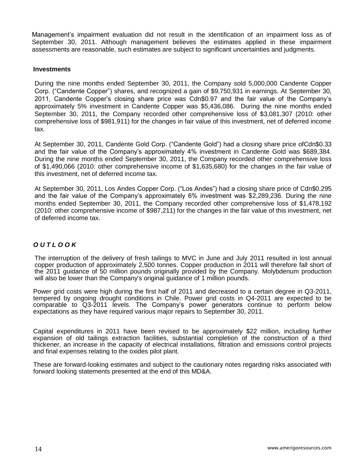Management's impairment evaluation did not result in the identification of an impairment loss as of September 30, 2011. Although management believes the estimates applied in these impairment assessments are reasonable, such estimates are subject to significant uncertainties and judgments.

#### **Investments**

During the nine months ended September 30, 2011, the Company sold 5,000,000 Candente Copper Corp. ("Candente Copper") shares, and recognized a gain of \$9,750,931 in earnings. At September 30, 2011, Candente Copper's closing share price was Cdn\$0.97 and the fair value of the Company's approximately 5% investment in Candente Copper was \$5,436,086. During the nine months ended September 30, 2011, the Company recorded other comprehensive loss of \$3,081,307 (2010: other comprehensive loss of \$981,911) for the changes in fair value of this investment, net of deferred income tax.

At September 30, 2011, Candente Gold Corp. ("Candente Gold") had a closing share price ofCdn\$0.33 and the fair value of the Company's approximately 4% investment in Candente Gold was \$689,384. During the nine months ended September 30, 2011, the Company recorded other comprehensive loss of \$1,490,066 (2010: other comprehensive income of \$1,635,680) for the changes in the fair value of this investment, net of deferred income tax.

At September 30, 2011, Los Andes Copper Corp. ("Los Andes") had a closing share price of Cdn\$0.295 and the fair value of the Company's approximately 6% investment was \$2,289,236. During the nine months ended September 30, 2011, the Company recorded other comprehensive loss of \$1,478,192 (2010: other comprehensive income of \$987,211) for the changes in the fair value of this investment, net of deferred income tax.

# *O U T L O O K*

The interruption of the delivery of fresh tailings to MVC in June and July 2011 resulted in lost annual copper production of approximately 2,500 tonnes. Copper production in 2011 will therefore fall short of the 2011 guidance of 50 million pounds originally provided by the Company. Molybdenum production will also be lower than the Company's original guidance of 1 million pounds.

Power grid costs were high during the first half of 2011 and decreased to a certain degree in Q3-2011, tempered by ongoing drought conditions in Chile. Power grid costs in Q4-2011 are expected to be comparable to Q3-2011 levels. The Company's power generators continue to perform below expectations as they have required various major repairs to September 30, 2011.

Capital expenditures in 2011 have been revised to be approximately \$22 million, including further expansion of old tailings extraction facilities, substantial completion of the construction of a third thickener, an increase in the capacity of electrical installations, filtration and emissions control projects and final expenses relating to the oxides pilot plant.

These are forward-looking estimates and subject to the cautionary notes regarding risks associated with forward looking statements presented at the end of this MD&A.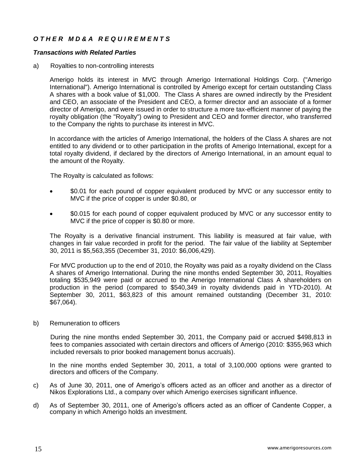# *O T H E R M D & A R E Q U I R E M E N T S*

#### *Transactions with Related Parties*

a) Royalties to non-controlling interests

Amerigo holds its interest in MVC through Amerigo International Holdings Corp. ("Amerigo International"). Amerigo International is controlled by Amerigo except for certain outstanding Class A shares with a book value of \$1,000. The Class A shares are owned indirectly by the President and CEO, an associate of the President and CEO, a former director and an associate of a former director of Amerigo, and were issued in order to structure a more tax-efficient manner of paying the royalty obligation (the "Royalty") owing to President and CEO and former director, who transferred to the Company the rights to purchase its interest in MVC.

In accordance with the articles of Amerigo International, the holders of the Class A shares are not entitled to any dividend or to other participation in the profits of Amerigo International, except for a total royalty dividend, if declared by the directors of Amerigo International, in an amount equal to the amount of the Royalty.

The Royalty is calculated as follows:

- \$0.01 for each pound of copper equivalent produced by MVC or any successor entity to MVC if the price of copper is under \$0.80, or
- \$0.015 for each pound of copper equivalent produced by MVC or any successor entity to MVC if the price of copper is \$0.80 or more.

The Royalty is a derivative financial instrument. This liability is measured at fair value, with changes in fair value recorded in profit for the period. The fair value of the liability at September 30, 2011 is \$5,563,355 (December 31, 2010: \$6,006,429).

For MVC production up to the end of 2010, the Royalty was paid as a royalty dividend on the Class A shares of Amerigo International. During the nine months ended September 30, 2011, Royalties totaling \$535,949 were paid or accrued to the Amerigo International Class A shareholders on production in the period (compared to \$540,349 in royalty dividends paid in YTD-2010). At September 30, 2011, \$63,823 of this amount remained outstanding (December 31, 2010: \$67,064).

b) Remuneration to officers

During the nine months ended September 30, 2011, the Company paid or accrued \$498,813 in fees to companies associated with certain directors and officers of Amerigo (2010: \$355,963 which included reversals to prior booked management bonus accruals).

In the nine months ended September 30, 2011, a total of 3,100,000 options were granted to directors and officers of the Company.

- c) As of June 30, 2011, one of Amerigo's officers acted as an officer and another as a director of Nikos Explorations Ltd., a company over which Amerigo exercises significant influence.
- d) As of September 30, 2011, one of Amerigo's officers acted as an officer of Candente Copper, a company in which Amerigo holds an investment.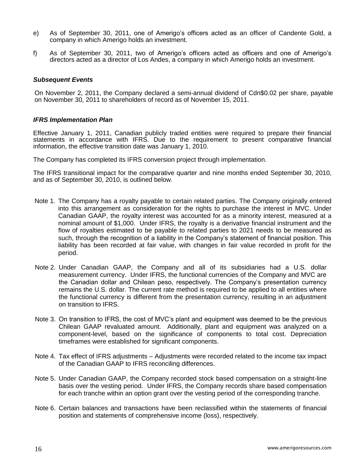- e) As of September 30, 2011, one of Amerigo's officers acted as an officer of Candente Gold, a company in which Amerigo holds an investment.
- f) As of September 30, 2011, two of Amerigo's officers acted as officers and one of Amerigo's directors acted as a director of Los Andes, a company in which Amerigo holds an investment.

#### *Subsequent Events*

On November 2, 2011, the Company declared a semi-annual dividend of Cdn\$0.02 per share, payable on November 30, 2011 to shareholders of record as of November 15, 2011.

#### *IFRS Implementation Plan*

Effective January 1, 2011, Canadian publicly traded entities were required to prepare their financial statements in accordance with IFRS. Due to the requirement to present comparative financial information, the effective transition date was January 1, 2010.

The Company has completed its IFRS conversion project through implementation.

The IFRS transitional impact for the comparative quarter and nine months ended September 30, 2010, and as of September 30, 2010, is outlined below.

- Note 1. The Company has a royalty payable to certain related parties. The Company originally entered into this arrangement as consideration for the rights to purchase the interest in MVC. Under Canadian GAAP, the royalty interest was accounted for as a minority interest, measured at a nominal amount of \$1,000. Under IFRS, the royalty is a derivative financial instrument and the flow of royalties estimated to be payable to related parties to 2021 needs to be measured as such, through the recognition of a liability in the Company's statement of financial position. This liability has been recorded at fair value, with changes in fair value recorded in profit for the period.
- Note 2. Under Canadian GAAP, the Company and all of its subsidiaries had a U.S. dollar measurement currency. Under IFRS, the functional currencies of the Company and MVC are the Canadian dollar and Chilean peso, respectively. The Company's presentation currency remains the U.S. dollar. The current rate method is required to be applied to all entities where the functional currency is different from the presentation currency, resulting in an adjustment on transition to IFRS.
- Note 3. On transition to IFRS, the cost of MVC's plant and equipment was deemed to be the previous Chilean GAAP revaluated amount. Additionally, plant and equipment was analyzed on a component-level, based on the significance of components to total cost. Depreciation timeframes were established for significant components.
- Note 4. Tax effect of IFRS adjustments Adjustments were recorded related to the income tax impact of the Canadian GAAP to IFRS reconciling differences.
- Note 5. Under Canadian GAAP, the Company recorded stock based compensation on a straight-line basis over the vesting period. Under IFRS, the Company records share based compensation for each tranche within an option grant over the vesting period of the corresponding tranche.
- Note 6. Certain balances and transactions have been reclassified within the statements of financial position and statements of comprehensive income (loss), respectively.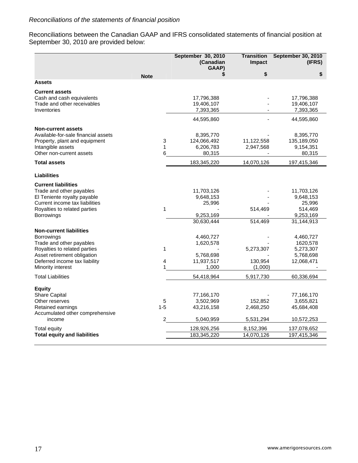Reconciliations between the Canadian GAAP and IFRS consolidated statements of financial position at September 30, 2010 are provided below:

|                                                                                                                                                                                                      |                   | September 30, 2010<br>(Canadian<br>GAAP)                     | <b>Transition</b><br>Impact       | <b>September 30, 2010</b><br>(IFRS)                                     |
|------------------------------------------------------------------------------------------------------------------------------------------------------------------------------------------------------|-------------------|--------------------------------------------------------------|-----------------------------------|-------------------------------------------------------------------------|
|                                                                                                                                                                                                      | <b>Note</b>       | \$                                                           | \$                                | \$                                                                      |
| <b>Assets</b>                                                                                                                                                                                        |                   |                                                              |                                   |                                                                         |
| <b>Current assets</b><br>Cash and cash equivalents<br>Trade and other receivables<br>Inventories                                                                                                     |                   | 17,796,388<br>19,406,107<br>7,393,365                        |                                   | 17,796,388<br>19,406,107<br>7,393,365                                   |
|                                                                                                                                                                                                      |                   | 44,595,860                                                   |                                   | 44,595,860                                                              |
| <b>Non-current assets</b><br>Available-for-sale financial assets<br>Property, plant and equipment<br>Intangible assets<br>Other non-current assets                                                   | 3<br>1<br>6       | 8,395,770<br>124,066,492<br>6,206,783<br>80,315              | 11,122,558<br>2,947,568           | 8,395,770<br>135,189,050<br>9,154,351<br>80,315                         |
| <b>Total assets</b>                                                                                                                                                                                  |                   | 183,345,220                                                  | 14,070,126                        | 197,415,346                                                             |
| <b>Liabilities</b>                                                                                                                                                                                   |                   |                                                              |                                   |                                                                         |
| <b>Current liabilities</b><br>Trade and other payables<br>El Teniente royalty payable<br>Current income tax liabilities<br>Royalties to related parties<br>Borrowings                                | $\mathbf 1$       | 11,703,126<br>9,648,153<br>25,996<br>9,253,169<br>30,630,444 | 514,469<br>514,469                | 11,703,126<br>9,648,153<br>25,996<br>514,469<br>9,253,169<br>31,144,913 |
| <b>Non-current liabilities</b><br><b>Borrowings</b><br>Trade and other payables<br>Royalties to related parties<br>Asset retirement obligation<br>Deferred income tax liability<br>Minority interest | 1<br>4            | 4,460,727<br>1,620,578<br>5,768,698<br>11,937,517<br>1,000   | 5,273,307<br>130,954<br>(1,000)   | 4,460,727<br>1620,578<br>5,273,307<br>5,768,698<br>12,068,471           |
| <b>Total Liabilities</b>                                                                                                                                                                             |                   | 54,418,964                                                   | 5,917,730                         | 60,336,694                                                              |
| <b>Equity</b><br>Share Capital<br>Other reserves<br>Retained earnings<br>Accumulated other comprehensive<br>income                                                                                   | 5<br>$1 - 5$<br>2 | 77,166,170<br>3,502,969<br>43,216,158<br>5,040,959           | 152,852<br>2,468,250<br>5,531,294 | 77,166,170<br>3,655,821<br>45,684,408<br>10,572,253                     |
| Total equity                                                                                                                                                                                         |                   | 128,926,256                                                  | 8,152,396                         | 137,078,652                                                             |
| <b>Total equity and liabilities</b>                                                                                                                                                                  |                   | 183,345,220                                                  | 14,070,126                        | 197,415,346                                                             |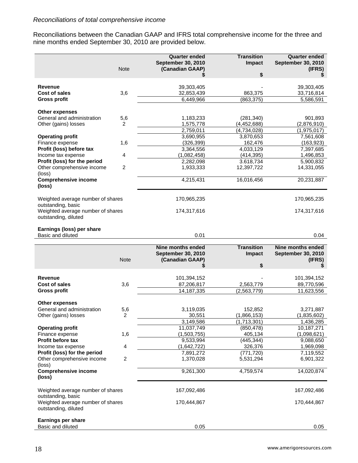Reconciliations between the Canadian GAAP and IFRS total comprehensive income for the three and nine months ended September 30, 2010 are provided below.

|                                                     |                | <b>Quarter ended</b>      | <b>Transition</b>      | <b>Quarter ended</b>      |
|-----------------------------------------------------|----------------|---------------------------|------------------------|---------------------------|
|                                                     |                | <b>September 30, 2010</b> | Impact                 | <b>September 30, 2010</b> |
|                                                     | <b>Note</b>    | (Canadian GAAP)           |                        | (IFRS)                    |
|                                                     |                |                           | \$                     | S                         |
|                                                     |                |                           |                        |                           |
| <b>Revenue</b>                                      |                | 39,303,405                |                        | 39,303,405                |
| Cost of sales                                       | 3,6            | 32,853,439                | 863,375                | 33,716,814                |
| <b>Gross profit</b>                                 |                | 6,449,966                 | (863, 375)             | 5,586,591                 |
|                                                     |                |                           |                        |                           |
| <b>Other expenses</b>                               |                |                           |                        |                           |
| General and administration                          | 5,6            | 1,183,233                 | (281, 340)             | 901,893                   |
| Other (gains) losses                                | 2              | 1,575,778                 | (4, 452, 688)          | (2,876,910)               |
|                                                     |                | 2,759,011                 | $\sqrt{4}$ , 734, 028) | (1,975,017)               |
| <b>Operating profit</b>                             |                | 3,690,955                 | 3,870,653              | 7,561,608                 |
| Finance expense                                     | 1,6            | (326, 399)                | 162,476                | (163, 923)                |
| Profit (loss) before tax                            |                | 3,364,556                 | 4,033,129              | 7,397,685                 |
| Income tax expense                                  | 4              | (1,082,458)               | (414, 395)             | 1,496,853                 |
| Profit (loss) for the period                        |                | 2,282,098                 | 3.618,734              | 5,900,832                 |
| Other comprehensive income                          | $\overline{c}$ | 1,933,333                 | 12,397,722             | 14,331,055                |
| (loss)                                              |                |                           |                        |                           |
| <b>Comprehensive income</b>                         |                | 4,215,431                 | 16,016,456             | 20,231,887                |
| (loss)                                              |                |                           |                        |                           |
|                                                     |                |                           |                        |                           |
| Weighted average number of shares                   |                | 170,965,235               |                        | 170,965,235               |
| outstanding, basic                                  |                |                           |                        |                           |
| Weighted average number of shares                   |                | 174,317,616               |                        | 174,317,616               |
| outstanding, diluted                                |                |                           |                        |                           |
|                                                     |                |                           |                        |                           |
| Earnings (loss) per share                           |                |                           |                        |                           |
| Basic and diluted                                   |                | 0.01                      |                        | 0.04                      |
|                                                     |                |                           |                        |                           |
|                                                     |                |                           |                        |                           |
|                                                     |                | <b>Nine months ended</b>  | <b>Transition</b>      | <b>Nine months ended</b>  |
|                                                     |                | September 30, 2010        | <b>Impact</b>          | September 30, 2010        |
|                                                     | <b>Note</b>    | (Canadian GAAP)           |                        | (IFRS)                    |
|                                                     |                | \$                        | \$                     | S                         |
| <b>Revenue</b>                                      |                |                           |                        |                           |
|                                                     |                | 101,394,152               |                        | 101,394,152               |
| <b>Cost of sales</b>                                | 3,6            | 87,206,817                | 2,563,779              | 89,770,596                |
| <b>Gross profit</b>                                 |                | 14, 187, 335              | (2, 563, 779)          | 11,623,556                |
|                                                     |                |                           |                        |                           |
| <b>Other expenses</b><br>General and administration |                |                           |                        |                           |
|                                                     | 5,6            | 3,119,035                 | 152,852                | 3,271,887                 |
| Other (gains) losses                                | $\overline{c}$ | 30,551                    | (1,866,153)            | (1,835,602)               |
|                                                     |                | 3,149,586                 | (1,713,301)            | 1,436,285                 |
| <b>Operating profit</b>                             |                | 11,037,749<br>(1,503,755) | (850, 478)             | 10, 187, 271              |
| Finance expense                                     | 1,6            |                           | 405,134                | (1,098,621)               |
| Profit before tax                                   | 4              | 9,533,994                 | (445, 344)             | 9,088,650                 |
| Income tax expense                                  |                | (1,642,722)               | 326,376                | 1,969,098                 |
| Profit (loss) for the period                        | 2              | 7,891,272                 | (771, 720)             | 7,119,552                 |
| Other comprehensive income                          |                | 1,370,028                 | 5,531,294              | 6,901,322                 |
| (loss)                                              |                |                           |                        |                           |
| <b>Comprehensive income</b><br>(loss)               |                | 9,261,300                 | 4,759,574              | 14,020,874                |
|                                                     |                |                           |                        |                           |
| Weighted average number of shares                   |                | 167,092,486               |                        | 167,092,486               |
| outstanding, basic                                  |                |                           |                        |                           |
| Weighted average number of shares                   |                | 170,444,867               |                        | 170,444,867               |
| outstanding, diluted                                |                |                           |                        |                           |
|                                                     |                |                           |                        |                           |
| <b>Earnings per share</b><br>Basic and diluted      |                | 0.05                      |                        | 0.05                      |